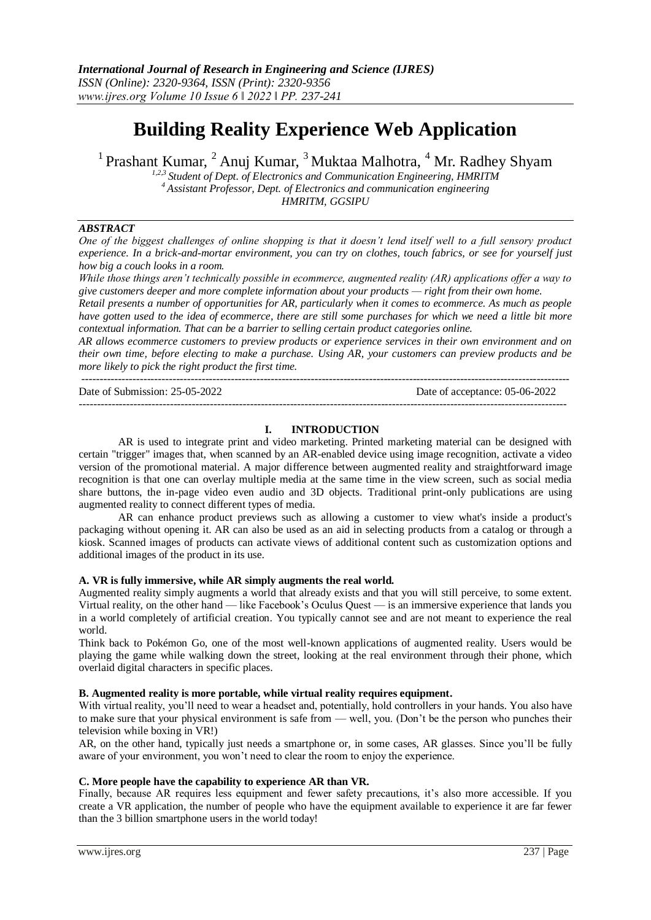# **Building Reality Experience Web Application**

<sup>1</sup> Prashant Kumar, <sup>2</sup> Anuj Kumar, <sup>3</sup> Muktaa Malhotra, <sup>4</sup> Mr. Radhey Shyam

*1,2,3 Student of Dept. of Electronics and Communication Engineering, HMRITM <sup>4</sup>Assistant Professor, Dept. of Electronics and communication engineering HMRITM, GGSIPU*

#### *ABSTRACT*

*One of the biggest challenges of online shopping is that it doesn't lend itself well to a full sensory product experience. In a brick-and-mortar environment, you can try on clothes, touch fabrics, or see for yourself just how big a couch looks in a room.*

*While those things aren't technically possible in ecommerce, augmented reality (AR) applications offer a way to give customers deeper and more complete information about your products — right from their own home.*

*Retail presents a number of opportunities for AR, particularly when it comes to ecommerce. As much as people have gotten used to the idea of [ecommerce,](https://www.bigcommerce.com/articles/ecommerce/) there are still some purchases for which we need a little bit more contextual information. That can be a barrier to selling certain product categories online.*

*AR allows ecommerce customers to preview products or experience services in their own environment and on their own time, before electing to make a purchase. Using AR, your customers can preview products and be more likely to pick the right product the first time.*

--------------------------------------------------------------------------------------------------------------------------------------

--------------------------------------------------------------------------------------------------------------------------------------

Date of Submission: 25-05-2022 Date of acceptance: 05-06-2022

# **I. INTRODUCTION**

AR is used to integrate print and video marketing. Printed marketing material can be designed with certain "trigger" images that, when scanned by an AR-enabled device using image recognition, activate a video version of the promotional material. A major difference between augmented reality and straightforward image recognition is that one can overlay multiple media at the same time in the view screen, such as social media share buttons, the in-page video even audio and 3D objects. Traditional print-only publications are using augmented reality to connect different types of media.

AR can enhance product previews such as allowing a customer to view what's inside a product's packaging without opening it. AR can also be used as an aid in selecting products from a catalog or through a kiosk. Scanned images of products can activate views of additional content such as customization options and additional images of the product in its use.

# **A. VR is fully immersive, while AR simply augments the real world.**

Augmented reality simply augments a world that already exists and that you will still perceive, to some extent. Virtual reality, on the other hand — like Facebook's Oculus Quest — is an immersive experience that lands you in a world completely of artificial creation. You typically cannot see and are not meant to experience the real world.

Think back to Pokémon Go, one of the most well-known applications of augmented reality. Users would be playing the game while walking down the street, looking at the real environment through their phone, which overlaid digital characters in specific places.

#### **B. Augmented reality is more portable, while virtual reality requires equipment.**

With virtual reality, you'll need to wear a headset and, potentially, hold controllers in your hands. You also have to make sure that your physical environment is safe from — well, you. (Don't be the person who punches their television while boxing in VR!)

AR, on the other hand, typically just needs a smartphone or, in some cases, AR glasses. Since you'll be fully aware of your environment, you won't need to clear the room to enjoy the experience.

#### **C. More people have the capability to experience AR than VR.**

Finally, because AR requires less equipment and fewer safety precautions, it's also more accessible. If you create a VR application, the number of people who have the equipment available to experience it are far fewer than the [3 billion smartphone users](https://www.statista.com/statistics/330695/number-of-smartphone-users-worldwide/#:~:text=The%20number%20of%20smartphone%20users,the%20100%20million%20user%20mark.) in the world today!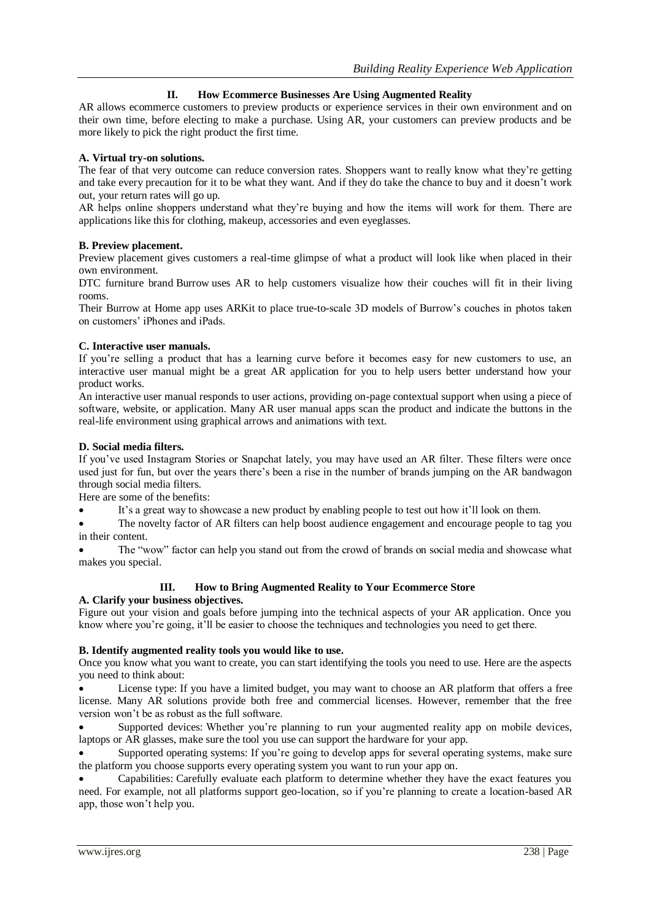# **II. How Ecommerce Businesses Are Using Augmented Reality**

AR allows ecommerce customers to preview products or experience services in their own environment and on their own time, before electing to make a purchase. Using AR, your customers can preview products and be more likely to pick the right product the first time.

# **A. Virtual try-on solutions.**

The fear of that very outcome can reduce [conversion rates.](https://www.bigcommerce.com/blog/conversion-rate-optimization/) Shoppers want to really know what they're getting and take every precaution for it to be what they want. And if they do take the chance to buy and it doesn't work out, your return rates will go up.

AR helps online shoppers understand what they're buying and how the items will work for them. There are applications like this for clothing, makeup, accessories and even eyeglasses.

# **B. Preview placement.**

Preview placement gives customers a real-time glimpse of what a product will look like when placed in their own environment.

DTC furniture brand [Burrow](https://burrow.com/) uses AR to help customers visualize how their couches will fit in their living rooms.

Their Burrow at Home app uses [ARKit](https://apps.apple.com/us/app/burrow-at-home/id1304445713) to place true-to-scale 3D models of Burrow's couches in photos taken on customers' iPhones and iPads.

# **C. Interactive user manuals.**

If you're selling a product that has a learning curve before it becomes easy for new customers to use, an interactive user manual might be a great AR application for you to help users better understand how your product works.

An interactive user manual responds to user actions, providing on-page contextual support when using a piece of software, website, or application. Many AR user manual apps scan the product and indicate the buttons in the real-life environment using graphical arrows and animations with text.

# **D. Social media filters.**

If you've used Instagram Stories or Snapchat lately, you may have used an AR filter. These filters were once used just for fun, but over the years there's been a rise in the number of brands jumping on the AR bandwagon through social media filters.

Here are some of the benefits:

It's a great way to showcase a new product by enabling people to test out how it'll look on them.

 The novelty factor of AR filters can help boost audience engagement and encourage people to tag you in their content.

 The "wow" factor can help you stand out from the crowd of brands on social media and showcase what makes you special.

# **III. How to Bring Augmented Reality to Your Ecommerce Store**

#### **A. Clarify your business objectives.**

Figure out your vision and goals before jumping into the technical aspects of your AR application. Once you know where you're going, it'll be easier to choose the techniques and technologies you need to get there.

## **B. Identify augmented reality tools you would like to use.**

Once you know what you want to create, you can start identifying the tools you need to use. Here are the aspects you need to think about:

 License type: If you have a limited budget, you may want to choose an AR platform that offers a free license. Many AR solutions provide both free and commercial licenses. However, remember that the free version won't be as robust as the full software.

Supported devices: Whether you're planning to run your augmented reality app on mobile devices, laptops or AR glasses, make sure the tool you use can support the hardware for your app.

 Supported operating systems: If you're going to develop apps for several operating systems, make sure the platform you choose supports every operating system you want to run your app on.

 Capabilities: Carefully evaluate each platform to determine whether they have the exact features you need. For example, not all platforms support geo-location, so if you're planning to create a location-based AR app, those won't help you.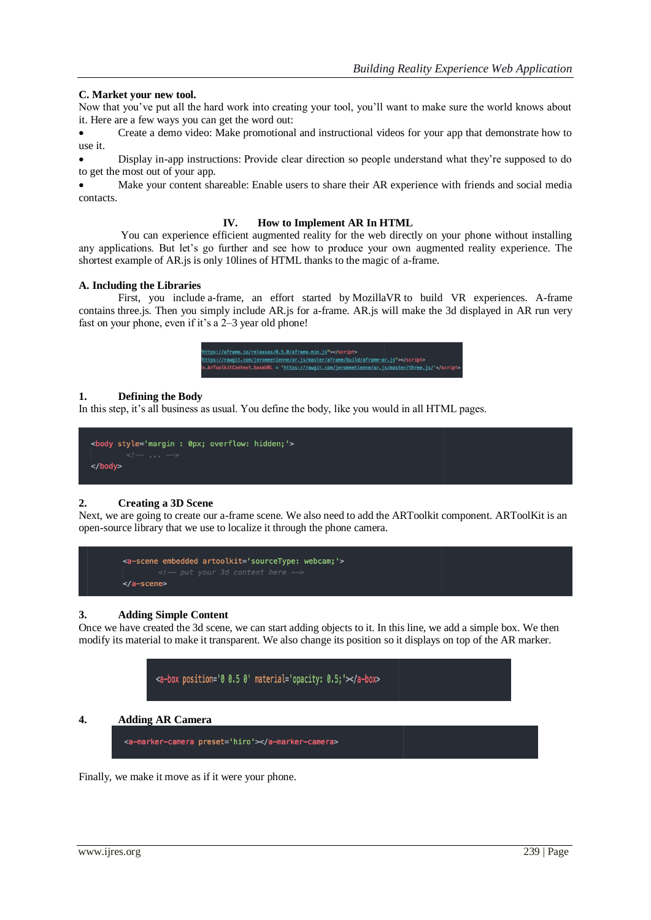# **C. Market your new tool.**

Now that you've put all the hard work into creating your tool, you'll want to make sure the world knows about it. Here are a few ways you can get the word out:

 Create a demo video: Make promotional and instructional videos for your app that demonstrate how to use it.

 Display in-app instructions: Provide clear direction so people understand what they're supposed to do to get the most out of your app.

 Make your content shareable: Enable users to share their AR experience with friends and social media contacts.

#### **IV. How to Implement AR In HTML**

You can experience efficient augmented reality for the web directly on your phone without installing any applications. But let's go further and see how to produce your own augmented reality experience. The shortest example of AR.js is only 10lines of HTML thanks to the magic of [a-frame.](https://aframe.io/)

#### **A. Including the Libraries**

First, you include [a-frame,](https://aframe.io/) an effort started by [MozillaVR](https://mozvr.com/) to build VR experiences. A-frame contains [three.js.](https://threejs.org/) Then you simply include AR.js for a-frame. AR.js will make the 3d displayed in AR run very fast on your phone, even if it's a 2–3 year old phone!

| https://aframe.io/releases/0.5.0/aframe.min.is">                                       |
|----------------------------------------------------------------------------------------|
| https://rawqit.com/jeromeetienne/ar.js/master/aframe/build/aframe-ar.js">              |
| x.ArToolkitContext.baseURL = 'https://rawgit.com/jeromeetienne/ar.js/master/three.js/' |

#### **1. Defining the Body**

In this step, it's all business as usual. You define the body, like you would in all HTML pages.

```
<body style='margin : 0px; overflow: hidden; '>
</body>
```
#### **2. Creating a 3D Scene**

Next, we are going to create our a-frame scene. We also need to add the ARToolkit component. [ARToolKit](https://artoolkit.org/) is an open-source library that we use to localize it through the phone camera.



#### **3. Adding Simple Content**

Once we have created the 3d scene, we can start adding objects to it. In this line, we add a simple box. We then modify its material to make it transparent. We also change its position so it displays on top of the AR marker.



## **4. Adding AR Camera**

```
<a-marker-camera preset='hiro'></a-marker-camera>
```
Finally, we make it move as if it were your phone.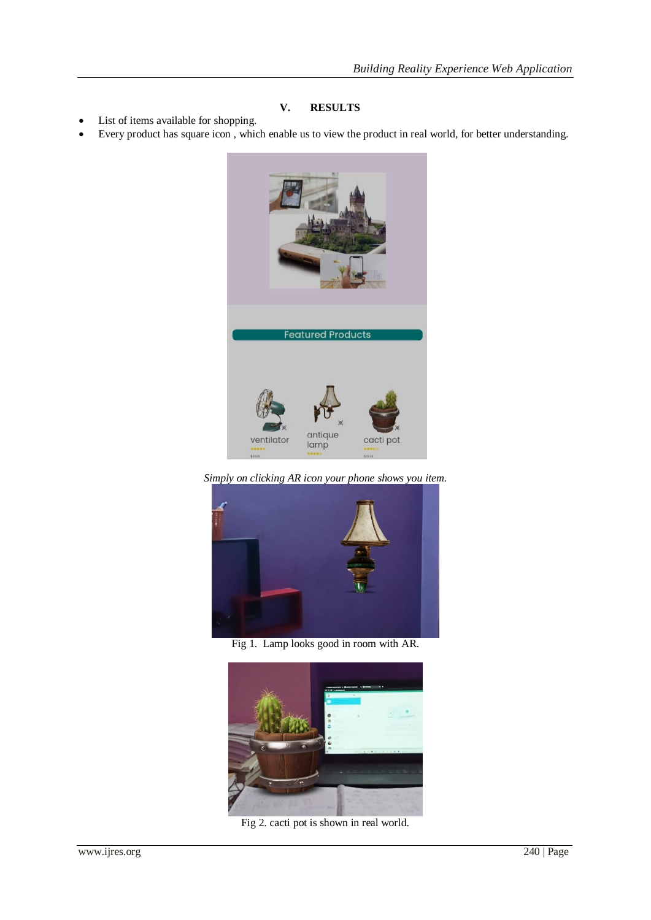# **V. RESULTS**

- List of items available for shopping.
- Every product has square icon , which enable us to view the product in real world, for better understanding.



*Simply on clicking AR icon your phone shows you item.*



Fig 1. Lamp looks good in room with AR.



Fig 2. cacti pot is shown in real world.